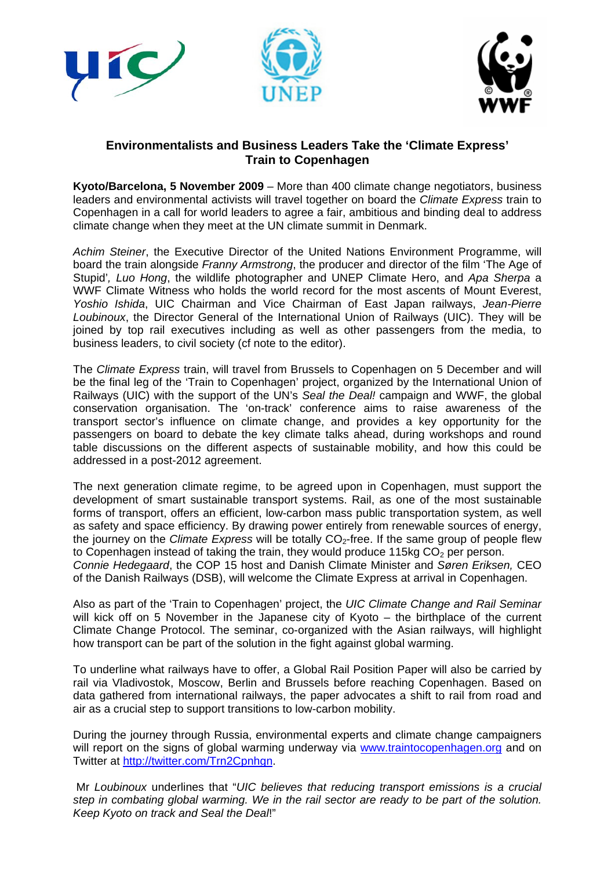





# **Environmentalists and Business Leaders Take the 'Climate Express' Train to Copenhagen**

**Kyoto/Barcelona, 5 November 2009** – More than 400 climate change negotiators, business leaders and environmental activists will travel together on board the *Climate Express* train to Copenhagen in a call for world leaders to agree a fair, ambitious and binding deal to address climate change when they meet at the UN climate summit in Denmark.

*Achim Steiner*, the Executive Director of the United Nations Environment Programme, will board the train alongside *Franny Armstrong*, the producer and director of the film 'The Age of Stupid'*, Luo Hong*, the wildlife photographer and UNEP Climate Hero, and *Apa Sherpa* a WWF Climate Witness who holds the world record for the most ascents of Mount Everest, *Yoshio Ishida*, UIC Chairman and Vice Chairman of East Japan railways, *Jean-Pierre Loubinoux*, the Director General of the International Union of Railways (UIC). They will be joined by top rail executives including as well as other passengers from the media, to business leaders, to civil society (cf note to the editor).

The *Climate Express* train, will travel from Brussels to Copenhagen on 5 December and will be the final leg of the 'Train to Copenhagen' project, organized by the International Union of Railways (UIC) with the support of the UN's *Seal the Deal!* campaign and WWF, the global conservation organisation. The 'on-track' conference aims to raise awareness of the transport sector's influence on climate change, and provides a key opportunity for the passengers on board to debate the key climate talks ahead, during workshops and round table discussions on the different aspects of sustainable mobility, and how this could be addressed in a post-2012 agreement.

The next generation climate regime, to be agreed upon in Copenhagen, must support the development of smart sustainable transport systems. Rail, as one of the most sustainable forms of transport, offers an efficient, low-carbon mass public transportation system, as well as safety and space efficiency. By drawing power entirely from renewable sources of energy, the journey on the *Climate Express* will be totally CO<sub>2</sub>-free. If the same group of people flew to Copenhagen instead of taking the train, they would produce 115kg  $CO<sub>2</sub>$  per person. *Connie Hedegaard*, the COP 15 host and Danish Climate Minister and *Søren Eriksen,* CEO of the Danish Railways (DSB), will welcome the Climate Express at arrival in Copenhagen.

Also as part of the 'Train to Copenhagen' project, the *UIC Climate Change and Rail Seminar* will kick off on 5 November in the Japanese city of Kyoto – the birthplace of the current Climate Change Protocol. The seminar, co-organized with the Asian railways, will highlight how transport can be part of the solution in the fight against global warming.

To underline what railways have to offer, a Global Rail Position Paper will also be carried by rail via Vladivostok, Moscow, Berlin and Brussels before reaching Copenhagen. Based on data gathered from international railways, the paper advocates a shift to rail from road and air as a crucial step to support transitions to low-carbon mobility.

During the journey through Russia, environmental experts and climate change campaigners will report on the signs of global warming underway via www.traintocopenhagen.org and on Twitter at http://twitter.com/Trn2Cpnhgn.

Mr *Loubinoux* underlines that "*UIC believes that reducing transport emissions is a crucial step in combating global warming. We in the rail sector are ready to be part of the solution. Keep Kyoto on track and Seal the Deal*!"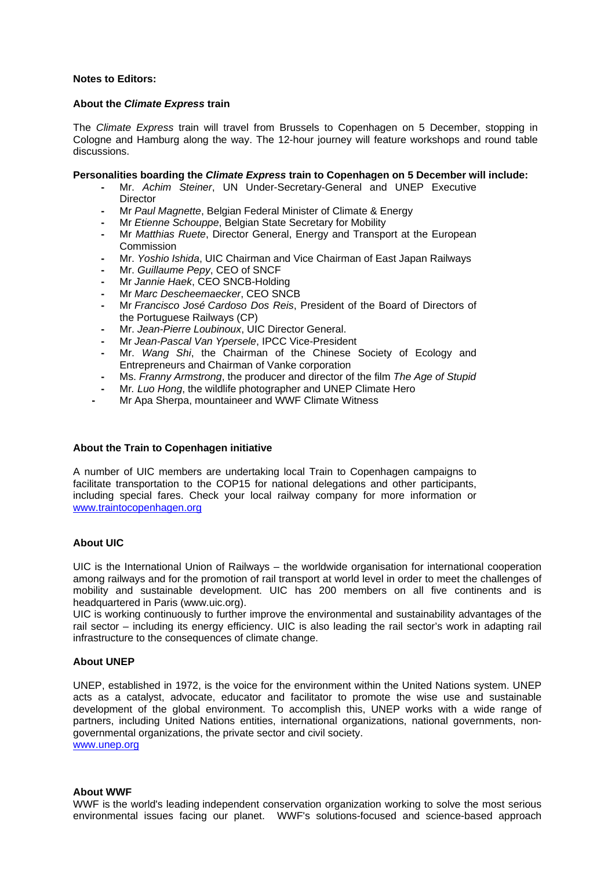#### **Notes to Editors:**

#### **About the** *Climate Express* **train**

The *Climate Express* train will travel from Brussels to Copenhagen on 5 December, stopping in Cologne and Hamburg along the way. The 12-hour journey will feature workshops and round table discussions.

#### **Personalities boarding the** *Climate Express* **train to Copenhagen on 5 December will include:**

- Mr. *Achim Steiner*, UN Under-Secretary-General and UNEP Executive **Director**
- Mr *Paul Magnette*, Belgian Federal Minister of Climate & Energy
- Mr *Etienne Schouppe*, Belgian State Secretary for Mobility
- Mr *Matthias Ruete*, Director General, Energy and Transport at the European Commission
- Mr. *Yoshio Ishida*, UIC Chairman and Vice Chairman of East Japan Railways
- Mr. *Guillaume Pepy*, CEO of SNCF
- Mr *Jannie Haek*, CEO SNCB-Holding
- Mr *Marc Descheemaecker*, CEO SNCB
- Mr *Francisco José Cardoso Dos Reis*, President of the Board of Directors of the Portuguese Railways (CP)
- Mr. *Jean-Pierre Loubinoux*, UIC Director General.
- Mr *Jean-Pascal Van Ypersele*, IPCC Vice-President
- Mr. *Wang Shi*, the Chairman of the Chinese Society of Ecology and Entrepreneurs and Chairman of Vanke corporation
- Ms. *Franny Armstrong*, the producer and director of the film *The Age of Stupid*
- Mr*. Luo Hong*, the wildlife photographer and UNEP Climate Hero
- Mr Apa Sherpa, mountaineer and WWF Climate Witness

#### **About the Train to Copenhagen initiative**

A number of UIC members are undertaking local Train to Copenhagen campaigns to facilitate transportation to the COP15 for national delegations and other participants, including special fares. Check your local railway company for more information or www.traintocopenhagen.org

#### **About UIC**

UIC is the International Union of Railways – the worldwide organisation for international cooperation among railways and for the promotion of rail transport at world level in order to meet the challenges of mobility and sustainable development. UIC has 200 members on all five continents and is headquartered in Paris (www.uic.org).

UIC is working continuously to further improve the environmental and sustainability advantages of the rail sector – including its energy efficiency. UIC is also leading the rail sector's work in adapting rail infrastructure to the consequences of climate change.

### **About UNEP**

UNEP, established in 1972, is the voice for the environment within the United Nations system. UNEP acts as a catalyst, advocate, educator and facilitator to promote the wise use and sustainable development of the global environment. To accomplish this, UNEP works with a wide range of partners, including United Nations entities, international organizations, national governments, nongovernmental organizations, the private sector and civil society. www.unep.org

#### **About WWF**

WWF is the world's leading independent conservation organization working to solve the most serious environmental issues facing our planet. WWF's solutions-focused and science-based approach